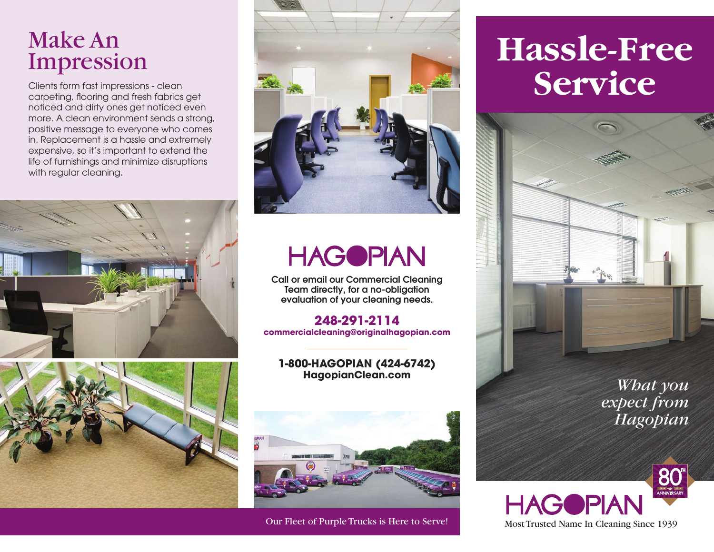## Make An Impression

Clients form fast impressions - clean carpeting, flooring and fresh fabrics get noticed and dirty ones get noticed even more. A clean environment sends a strong, positive message to everyone who comes in. Replacement is a hassle and extremely expensive, so it's important to extend the life of furnishings and minimize disruptions with regular cleaning.







## **HAGOPIAN**

Call or email our Commercial Cleaning Team directly, for a no-obligation evaluation of your cleaning needs.

#### **248-291-2114 commercialcleaning@originalhagopian.com**

#### **1-800-HAGOPIAN (424-6742) HagopianClean.com**



# **Hassle-Free Service**



*What you expect from Hagopian*